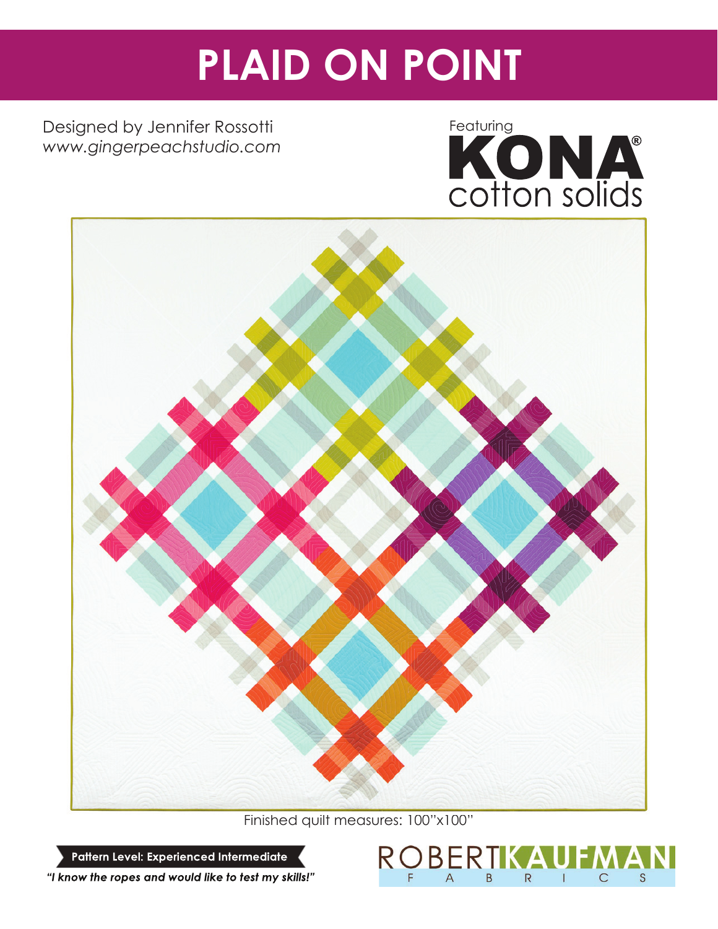# **PLAID ON POINT**

Designed by Jennifer Rossotti *www.gingerpeachstudio.com*





Finished quilt measures: 100"x100"

Pattern Level: Experienced Intermediate



"I know the ropes and would like to test my skills!"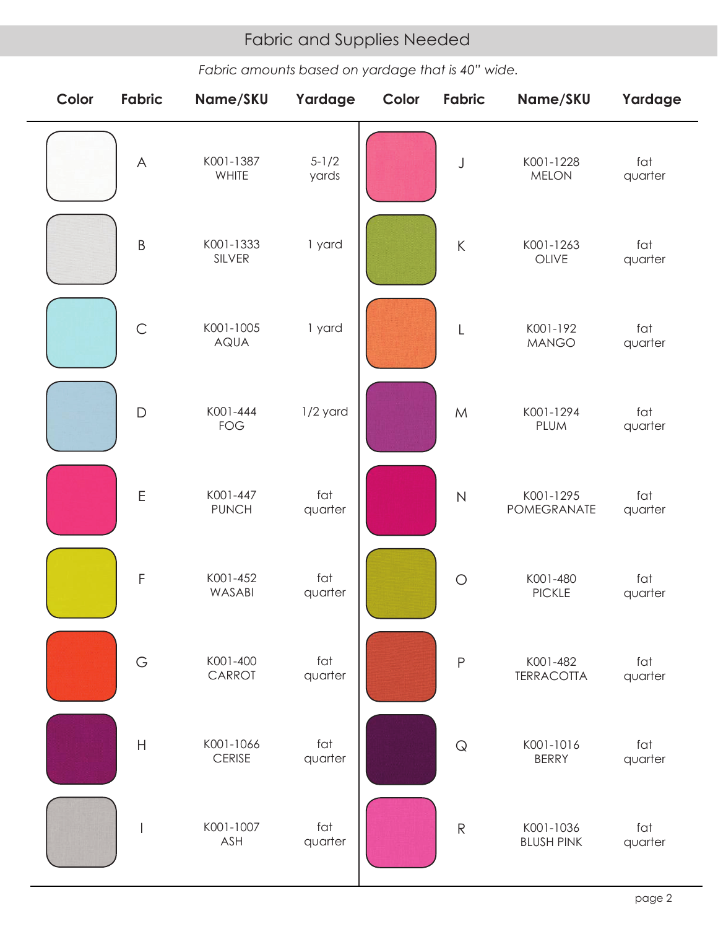# Fabric and Supplies Needed Fabric and Supplies Needed

*Fabric amounts based on yardage that is 40" wide.*

| Color | Fabric        | Name/SKU                   | Yardage            | Color | Fabric        | Name/SKU                       | Yardage        |
|-------|---------------|----------------------------|--------------------|-------|---------------|--------------------------------|----------------|
|       | $\wedge$      | K001-1387<br>WHITE         | $5 - 1/2$<br>yards |       | J             | K001-1228<br><b>MELON</b>      | fat<br>quarter |
|       | $\sf B$       | K001-1333<br>SILVER        | 1 yard             |       | $\mathsf K$   | K001-1263<br>OLIVE             | fat<br>quarter |
|       | $\mathsf{C}$  | K001-1005<br><b>AQUA</b>   | 1 yard             |       | $\lfloor$     | K001-192<br><b>MANGO</b>       | fat<br>quarter |
|       | $\mathsf{D}%$ | K001-444<br><b>FOG</b>     | 1/2 yard           |       | ${\sf M}$     | K001-1294<br><b>PLUM</b>       | fat<br>quarter |
|       | $\mathsf E$   | K001-447<br><b>PUNCH</b>   | fat<br>quarter     |       | $\mathsf{N}$  | K001-1295<br>POMEGRANATE       | fat<br>quarter |
|       | $\mathsf F$   | K001-452<br>WASABI         | fat<br>quarter     |       | $\bigcirc$    | K001-480<br><b>PICKLE</b>      | fat<br>quarter |
|       | G             | K001-400<br>CARROT         | fat<br>quarter     |       | $\mathsf{P}$  | K001-482<br><b>TERRACOTTA</b>  | fat<br>quarter |
|       | $\mathsf{H}$  | K001-1066<br><b>CERISE</b> | fat<br>quarter     |       | $\mathsf{Q}$  | K001-1016<br><b>BERRY</b>      | fat<br>quarter |
|       |               | K001-1007<br>ASH           | fat<br>quarter     |       | ${\mathsf R}$ | K001-1036<br><b>BLUSH PINK</b> | fat<br>quarter |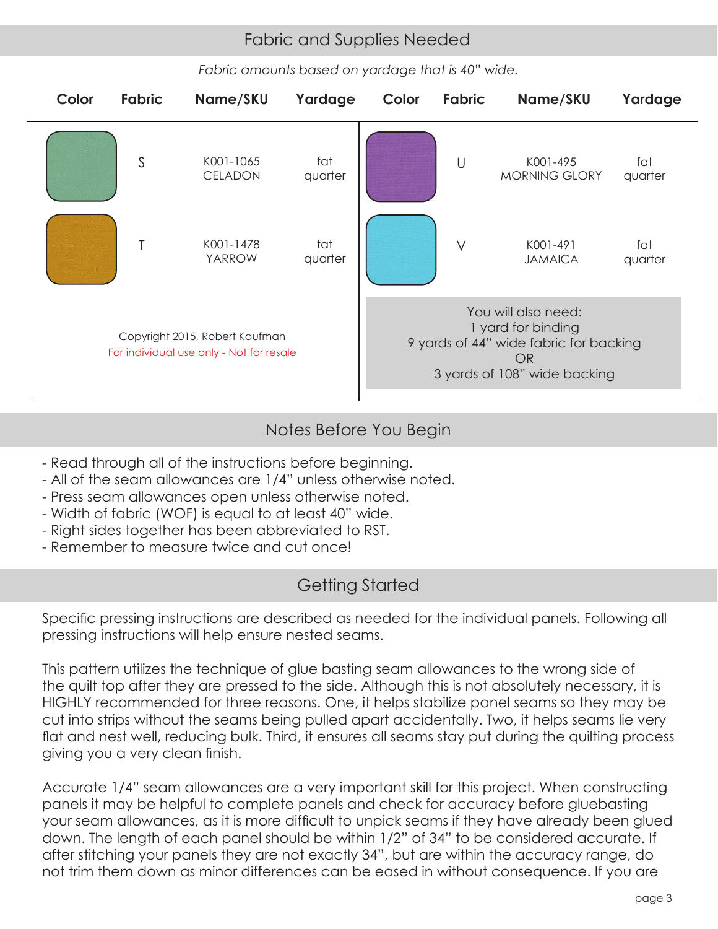# Fabric and Supplies Needed Fabric and Supplies Needed

*Fabric amounts based on yardage that is 40" wide.*



# Notes Before You Begin

- Read through all of the instructions before beginning.
- All of the seam allowances are 1/4" unless otherwise noted.
- Press seam allowances open unless otherwise noted.
- Width of fabric (WOF) is equal to at least 40" wide.
- Right sides together has been abbreviated to RST.
- Remember to measure twice and cut once!

# Getting Started

Specific pressing instructions are described as needed for the individual panels. Following all pressing instructions will help ensure nested seams.

This pattern utilizes the technique of glue basting seam allowances to the wrong side of the quilt top after they are pressed to the side. Although this is not absolutely necessary, it is HIGHLY recommended for three reasons. One, it helps stabilize panel seams so they may be cut into strips without the seams being pulled apart accidentally. Two, it helps seams lie very flat and nest well, reducing bulk. Third, it ensures all seams stay put during the quilting process giving you a very clean finish.

Accurate 1/4" seam allowances are a very important skill for this project. When constructing panels it may be helpful to complete panels and check for accuracy before gluebasting your seam allowances, as it is more difficult to unpick seams if they have already been glued down. The length of each panel should be within 1/2" of 34" to be considered accurate. If after stitching your panels they are not exactly 34", but are within the accuracy range, do not trim them down as minor differences can be eased in without consequence. If you are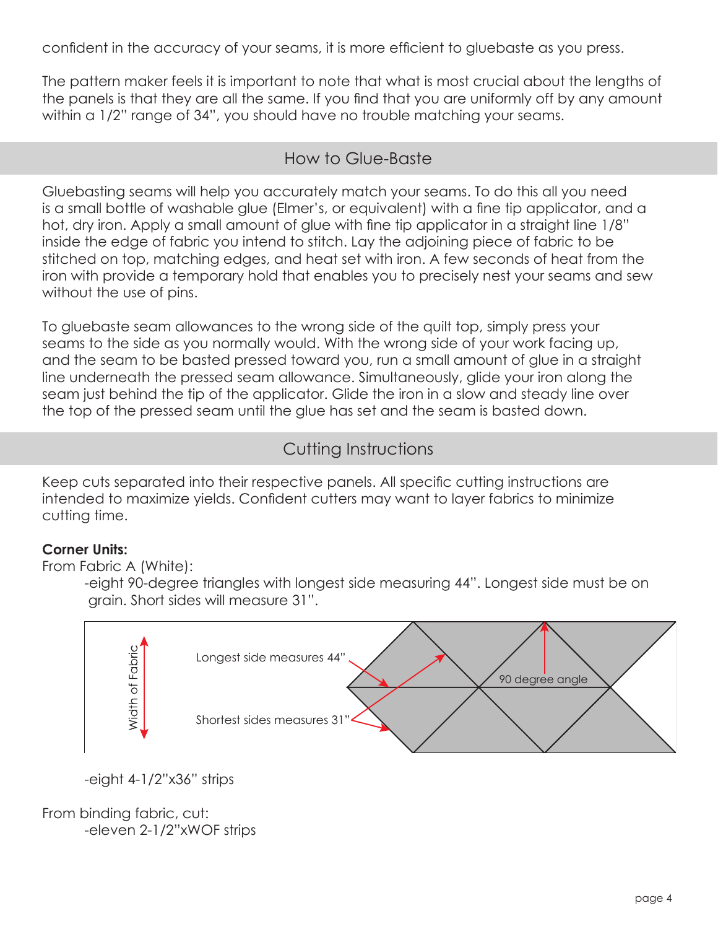confident in the accuracy of your seams, it is more efficient to gluebaste as you press.

The pattern maker feels it is important to note that what is most crucial about the lengths of the panels is that they are all the same. If you find that you are uniformly off by any amount within a 1/2" range of 34", you should have no trouble matching your seams.

### How to Glue-Baste

Glue basting seams will help you accurately match your seams. To do this all you need is a small bottle of washable glue (Elmer's, or equivalent) with a fine tip applicator, and a hot, dry iron. Apply a small amount of glue with fine tip applicator in a straight line  $1/8$ " inside the edge of fabric you intend to stitch. Lay the adjoining piece of fabric to be stitched on top, matching edges, and heat set with iron. A few seconds of heat from the iron with provide a temporary hold that enables you to precisely nest your seams and sew without the use of pins.

To gluebaste seam allowances to the wrong side of the quilt top, simply press your seams to the side as you normally would. With the wrong side of your work facing up, and the seam to be basted pressed toward you, run a small amount of glue in a straight line underneath the pressed seam allowance. Simultaneously, glide your iron along the seam just behind the tip of the applicator. Glide the iron in a slow and steady line over the top of the pressed seam until the glue has set and the seam is basted down.

# Cutting Instructions

Keep cuts separated into their respective panels. All specific cutting instructions are intended to maximize yields. Confident cutters may want to layer fabrics to minimize cutting time.

### **Corner Units:**

From Fabric A (White):

 -eight 90-degree triangles with longest side measuring 44". Longest side must be on grain. Short sides will measure 31".



-eight 4-1/2"x36" strips

From binding fabric, cut: -eleven 2-1/2"xWOF strips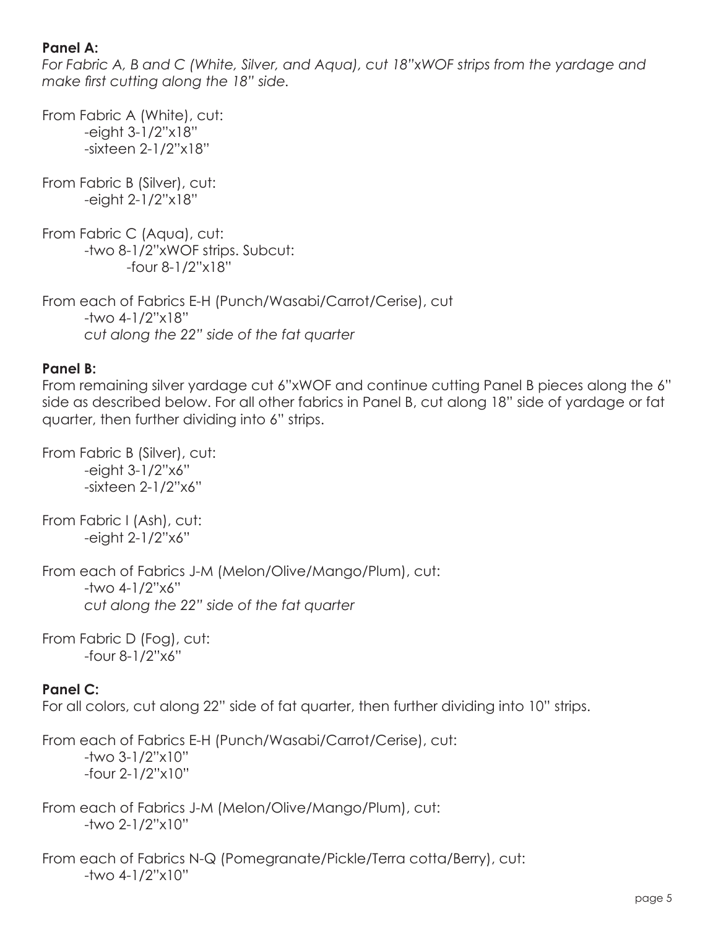### **Panel A:**

*For Fabric A, B and C (White, Silver, and Aqua), cut 18"xWOF strips from the yardage and make first cutting along the 18" side.* 

From Fabric A (White), cut: -eight 3-1/2"x18" -sixteen 2-1/2"x18" From Fabric B (Silver), cut: -eight 2-1/2"x18" From Fabric C (Aqua), cut: -two 8-1/2"xWOF strips. Subcut: -four 8-1/2"x18" From each of Fabrics E-H (Punch/Wasabi/Carrot/Cerise), cut -two 4-1/2"x18"

# *cut along the 22" side of the fat quarter*

#### **Panel B:**

From remaining silver yardage cut 6"xWOF and continue cutting Panel B pieces along the 6" side as described below. For all other fabrics in Panel B, cut along 18" side of yardage or fat quarter, then further dividing into 6" strips.

From Fabric B (Silver), cut: -eight 3-1/2"x6" -sixteen 2-1/2"x6"

From Fabric I (Ash), cut: -eight 2-1/2"x6"

From each of Fabrics J-M (Melon/Olive/Mango/Plum), cut: -two 4-1/2"x6" *cut along the 22" side of the fat quarter*

From Fabric D (Fog), cut: -four 8-1/2"x6"

### **Panel C:**

For all colors, cut along 22" side of fat quarter, then further dividing into 10" strips.

From each of Fabrics E-H (Punch/Wasabi/Carrot/Cerise), cut: -two 3-1/2"x10" -four 2-1/2"x10"

From each of Fabrics J-M (Melon/Olive/Mango/Plum), cut: -two 2-1/2"x10"

From each of Fabrics N-Q (Pomegranate/Pickle/Terra cotta/Berry), cut: -two 4-1/2"x10"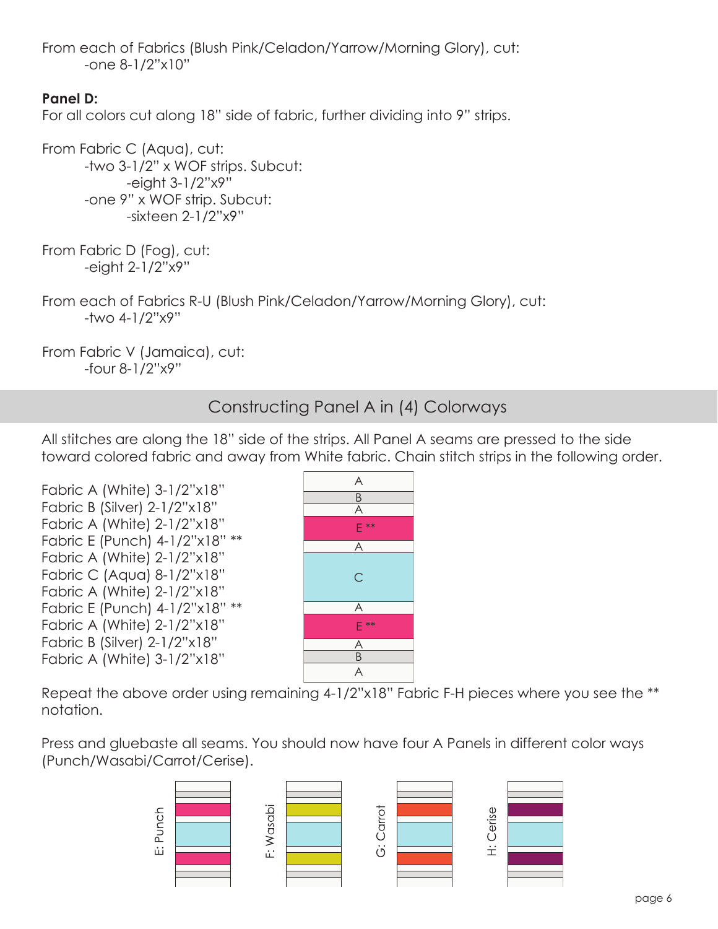From each of Fabrics (Blush Pink/Celadon/Yarrow/Morning Glory), cut: -one 8-1/2"x10"

### **Panel D:**

For all colors cut along 18" side of fabric, further dividing into 9" strips.

From Fabric C (Aqua), cut: -two 3-1/2" x WOF strips. Subcut: -eight 3-1/2"x9" -one 9" x WOF strip. Subcut: -sixteen 2-1/2"x9"

From Fabric D (Fog), cut: -eight 2-1/2"x9"

From each of Fabrics R-U (Blush Pink/Celadon/Yarrow/Morning Glory), cut: -two 4-1/2"x9"

From Fabric V (Jamaica), cut: -four 8-1/2"x9"

Constructing Panel A in (4) Colorways

All stitches are along the 18" side of the strips. All Panel A seams are pressed to the side toward colored fabric and away from White fabric. Chain stitch strips in the following order.

Fabric A (White) 3-1/2"x18" Fabric B (Silver) 2-1/2"x18" Fabric A (White) 2-1/2"x18" Fabric E (Punch) 4-1/2"x18" \*\* Fabric A (White) 2-1/2"x18" Fabric C (Aqua) 8-1/2"x18" Fabric A (White) 2-1/2"x18" Fabric E (Punch) 4-1/2"x18" \*\* Fabric A (White) 2-1/2"x18" Fabric B (Silver) 2-1/2"x18" Fabric A (White) 3-1/2"x18"



Repeat the above order using remaining 4-1/2"x18" Fabric F-H pieces where you see the \*\* notation.

Press and gluebaste all seams. You should now have four A Panels in different color ways (Punch/Wasabi/Carrot/Cerise).

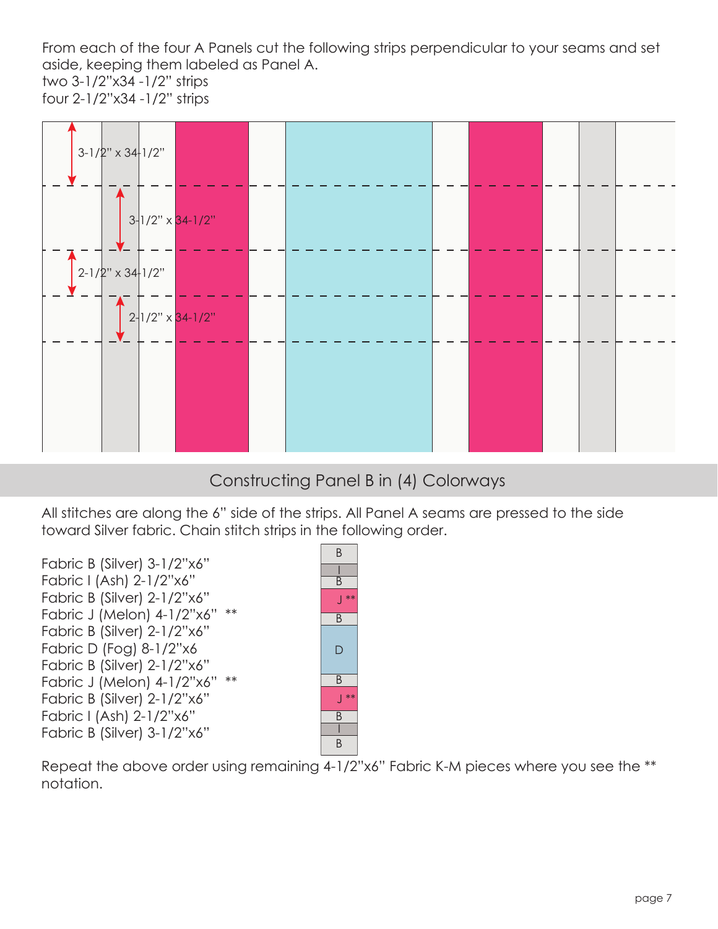From each of the four A Panels cut the following strips perpendicular to your seams and set aside, keeping them labeled as Panel A. two 3-1/2"x34 -1/2" strips four 2-1/2"x34 -1/2" strips



# Constructing Panel B in (4) Colorways

All stitches are along the 6" side of the strips. All Panel A seams are pressed to the side toward Silver fabric. Chain stitch strips in the following order.

Fabric B (Silver) 3-1/2"x6" Fabric I (Ash) 2-1/2"x6" Fabric B (Silver) 2-1/2"x6" Fabric J (Melon) 4-1/2"x6" \*\* Fabric B (Silver) 2-1/2"x6" Fabric D (Fog) 8-1/2"x6 Fabric B (Silver) 2-1/2"x6" Fabric J (Melon) 4-1/2"x6" \*\* Fabric B (Silver) 2-1/2"x6" Fabric I (Ash) 2-1/2"x6" Fabric B (Silver) 3-1/2"x6"



Repeat the above order using remaining 4-1/2"x6" Fabric K-M pieces where you see the \*\* notation.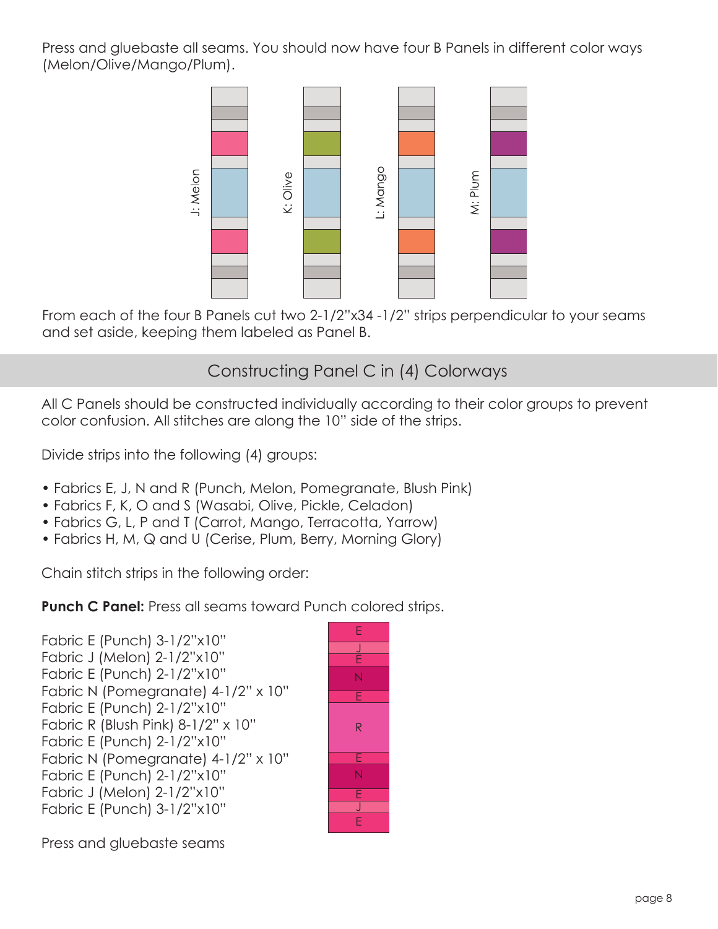Press and gluebaste all seams. You should now have four B Panels in different color ways (Melon/Olive/Mango/Plum).



From each of the four B Panels cut two 2-1/2"x34 -1/2" strips perpendicular to your seams and set aside, keeping them labeled as Panel B.

# Constructing Panel C in (4) Colorways

All C Panels should be constructed individually according to their color groups to prevent color confusion. All stitches are along the 10" side of the strips.

Divide strips into the following (4) groups:

- Fabrics E, J, N and R (Punch, Melon, Pomegranate, Blush Pink)
- Fabrics F, K, O and S (Wasabi, Olive, Pickle, Celadon)
- Fabrics G, L, P and T (Carrot, Mango, Terracotta, Yarrow)
- Fabrics H, M, Q and U (Cerise, Plum, Berry, Morning Glory)

Chain stitch strips in the following order:

**Punch C Panel:** Press all seams toward Punch colored strips.

Fabric E (Punch) 3-1/2"x10" Fabric J (Melon) 2-1/2"x10" Fabric E (Punch) 2-1/2"x10" Fabric N (Pomegranate) 4-1/2" x 10" Fabric E (Punch) 2-1/2"x10" Fabric R (Blush Pink) 8-1/2" x 10" Fabric E (Punch) 2-1/2"x10" Fabric N (Pomegranate) 4-1/2" x 10" Fabric E (Punch) 2-1/2"x10" Fabric J (Melon) 2-1/2"x10" Fabric E (Punch) 3-1/2"x10"



Press and gluebaste seams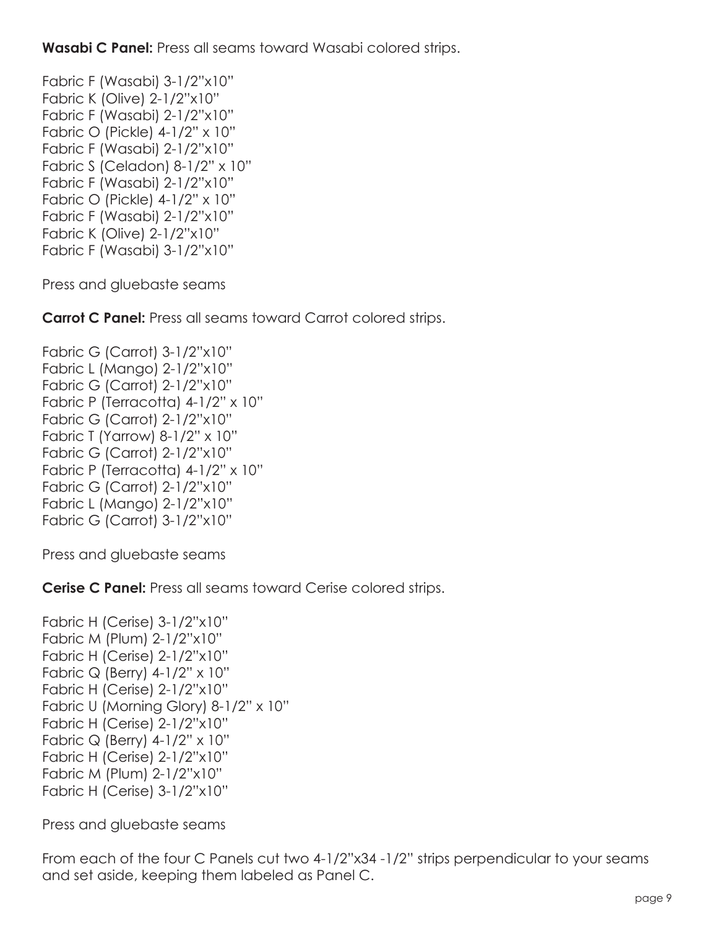**Wasabi C Panel:** Press all seams toward Wasabi colored strips.

Fabric F (Wasabi) 3-1/2"x10" Fabric K (Olive) 2-1/2"x10" Fabric F (Wasabi) 2-1/2"x10" Fabric O (Pickle) 4-1/2" x 10" Fabric F (Wasabi) 2-1/2"x10" Fabric S (Celadon) 8-1/2" x 10" Fabric F (Wasabi) 2-1/2"x10" Fabric O (Pickle) 4-1/2" x 10" Fabric F (Wasabi) 2-1/2"x10" Fabric K (Olive) 2-1/2"x10" Fabric F (Wasabi) 3-1/2"x10"

Press and gluebaste seams

**Carrot C Panel:** Press all seams toward Carrot colored strips.

Fabric G (Carrot) 3-1/2"x10" Fabric L (Mango) 2-1/2"x10" Fabric G (Carrot) 2-1/2"x10" Fabric P (Terracotta) 4-1/2" x 10" Fabric G (Carrot) 2-1/2"x10" Fabric T (Yarrow) 8-1/2" x 10" Fabric G (Carrot) 2-1/2"x10" Fabric P (Terracotta) 4-1/2" x 10" Fabric G (Carrot) 2-1/2"x10" Fabric L (Mango) 2-1/2"x10" Fabric G (Carrot) 3-1/2"x10"

Press and gluebaste seams

**Cerise C Panel:** Press all seams toward Cerise colored strips.

Fabric H (Cerise) 3-1/2"x10" Fabric M (Plum) 2-1/2"x10" Fabric H (Cerise) 2-1/2"x10" Fabric Q (Berry) 4-1/2" x 10" Fabric H (Cerise) 2-1/2"x10" Fabric U (Morning Glory) 8-1/2" x 10" Fabric H (Cerise) 2-1/2"x10" Fabric Q (Berry)  $4-1/2$ " x 10" Fabric H (Cerise) 2-1/2"x10" Fabric M (Plum) 2-1/2"x10" Fabric H (Cerise) 3-1/2"x10"

Press and gluebaste seams

From each of the four C Panels cut two 4-1/2"x34 -1/2" strips perpendicular to your seams and set aside, keeping them labeled as Panel C.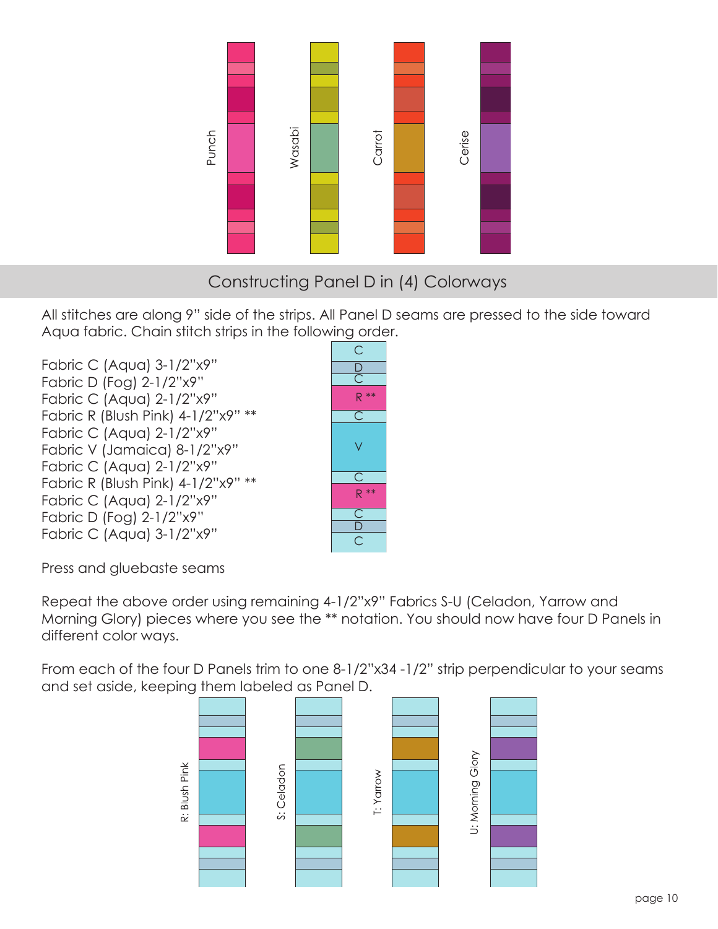

# Constructing Panel D in (4) Colorways

All stitches are along 9" side of the strips. All Panel D seams are pressed to the side toward Aqua fabric. Chain stitch strips in the following order.

Fabric C (Aqua) 3-1/2"x9" Fabric D (Fog) 2-1/2"x9" Fabric C (Aqua) 2-1/2"x9" Fabric R (Blush Pink) 4-1/2"x9" \*\* Fabric C (Aqua) 2-1/2"x9" Fabric V (Jamaica) 8-1/2"x9" Fabric C (Aqua) 2-1/2"x9" Fabric R (Blush Pink) 4-1/2"x9" \*\* Fabric C (Aqua) 2-1/2"x9" Fabric D (Fog) 2-1/2"x9" Fabric C (Aqua) 3-1/2"x9"



Press and gluebaste seams

Repeat the above order using remaining 4-1/2"x9" Fabrics S-U (Celadon, Yarrow and Morning Glory) pieces where you see the \*\* notation. You should now have four D Panels in different color ways.

From each of the four D Panels trim to one 8-1/2"x34 -1/2" strip perpendicular to your seams and set aside, keeping them labeled as Panel D.

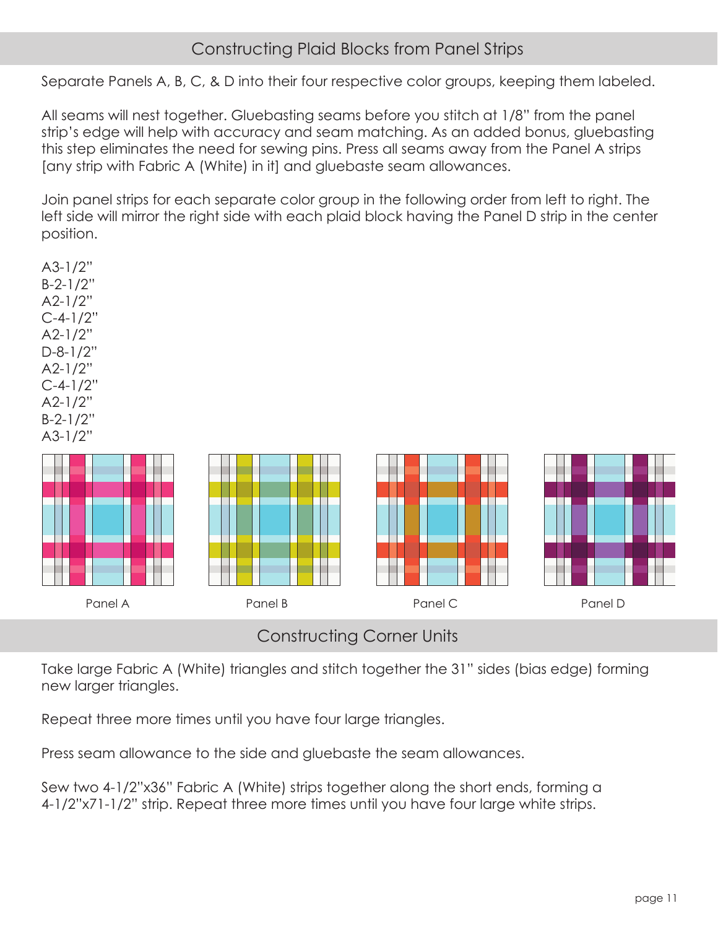# Constructing Plaid Blocks from Panel Strips

Separate Panels A, B, C, & D into their four respective color groups, keeping them labeled.

All seams will nest together. Gluebasting seams before you stitch at 1/8" from the panel strip's edge will help with accuracy and seam matching. As an added bonus, gluebasting this step eliminates the need for sewing pins. Press all seams away from the Panel A strips [any strip with Fabric A (White) in it] and gluebaste seam allowances.

Join panel strips for each separate color group in the following order from left to right. The left side will mirror the right side with each plaid block having the Panel D strip in the center position.

| A3-1/2"    |
|------------|
| B-2-1/2"   |
| A2-1/2"    |
| C-4-1/2"   |
| A2-1/2"    |
| D-8-1/2"   |
| $A2-1/2"$  |
| $C-4-1/2"$ |
| A2-1/2"    |
| B-2-1/2''  |
| A3-1/2"    |



Constructing Corner Units

Take large Fabric A (White) triangles and stitch together the 31" sides (bias edge) forming new larger triangles.

Repeat three more times until you have four large triangles.

Press seam allowance to the side and gluebaste the seam allowances.

Sew two 4-1/2"x36" Fabric A (White) strips together along the short ends, forming a 4-1/2"x71-1/2" strip. Repeat three more times until you have four large white strips.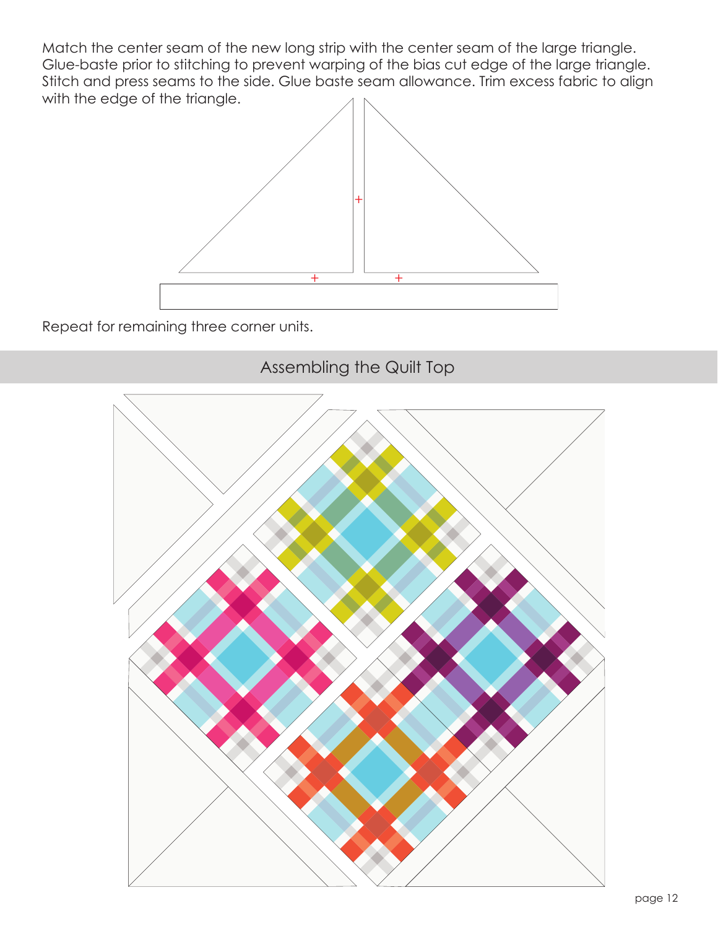Match the center seam of the new long strip with the center seam of the large triangle. Glue-baste prior to stitching to prevent warping of the bias cut edge of the large triangle. Stitch and press seams to the side. Glue baste seam allowance. Trim excess fabric to align with the edge of the triangle.



Repeat for remaining three corner units.

Assembling the Quilt Top